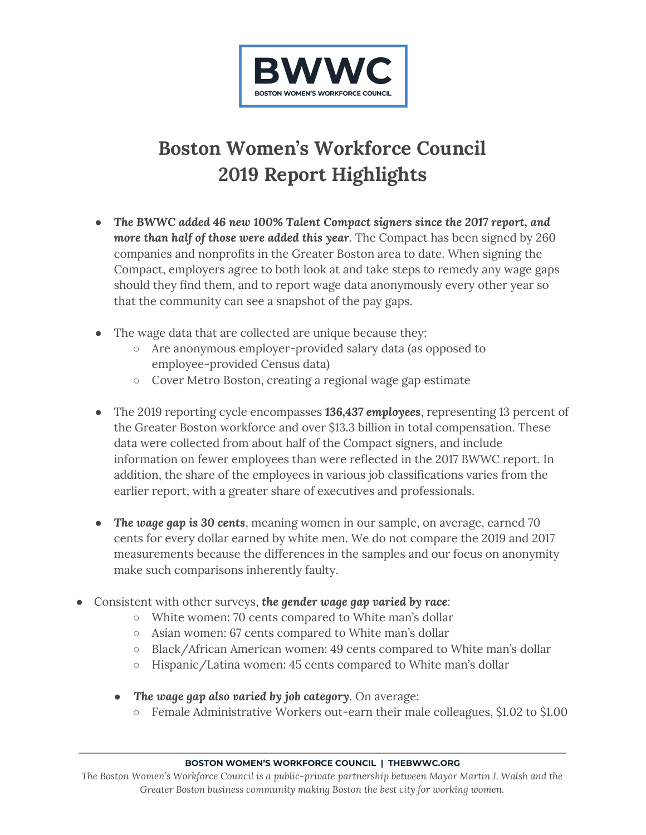

## **Boston Women's Workforce Council 2019 Report Highlights**

- *The BWWC added 46 new 100% Talent Compact signers since the 2017 report, and more than half of those were added this year*. The Compact has been signed by 260 companies and nonprofits in the Greater Boston area to date. When signing the Compact, employers agree to both look at and take steps to remedy any wage gaps should they find them, and to report wage data anonymously every other year so that the community can see a snapshot of the pay gaps.
- The wage data that are collected are unique because they:
	- Are anonymous employer-provided salary data (as opposed to employee-provided Census data)
	- Cover Metro Boston, creating a regional wage gap estimate
- The 2019 reporting cycle encompasses *136,437 employees*, representing 13 percent of the Greater Boston workforce and over \$13.3 billion in total compensation. These data were collected from about half of the Compact signers, and include information on fewer employees than were reflected in the 2017 BWWC report. In addition, the share of the employees in various job classifications varies from the earlier report, with a greater share of executives and professionals.
- *The wage gap is 30 cents*, meaning women in our sample, on average, earned 70 cents for every dollar earned by white men. We do not compare the 2019 and 2017 measurements because the differences in the samples and our focus on anonymity make such comparisons inherently faulty.
- Consistent with other surveys, *the gender wage gap varied by race*:
	- White women: 70 cents compared to White man's dollar
	- Asian women: 67 cents compared to White man's dollar
	- Black/African American women: 49 cents compared to White man's dollar
	- Hispanic/Latina women: 45 cents compared to White man's dollar
	- *The wage gap also varied by job category*. On average:
		- Female Administrative Workers out-earn their male colleagues, \$1.02 to \$1.00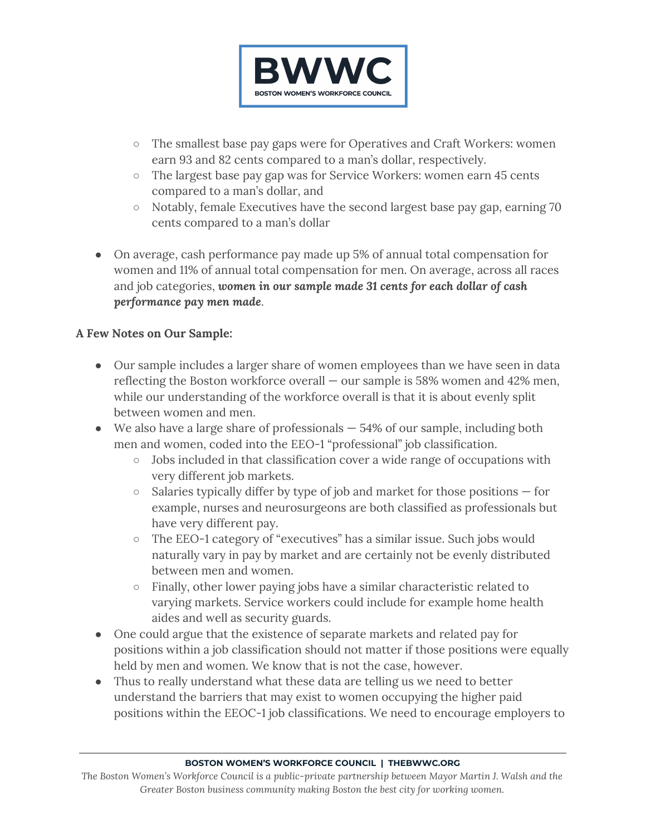

- The smallest base pay gaps were for Operatives and Craft Workers: women earn 93 and 82 cents compared to a man's dollar, respectively.
- The largest base pay gap was for Service Workers: women earn 45 cents compared to a man's dollar, and
- Notably, female Executives have the second largest base pay gap, earning 70 cents compared to a man's dollar
- On average, cash performance pay made up 5% of annual total compensation for women and 11% of annual total compensation for men. On average, across all races and job categories, *women in our sample made 31 cents for each dollar of cash performance pay men made*.

## **A Few Notes on Our Sample:**

- Our sample includes a larger share of women employees than we have seen in data reflecting the Boston workforce overall — our sample is 58% women and 42% men, while our understanding of the workforce overall is that it is about evenly split between women and men.
- $\bullet$  We also have a large share of professionals  $-54\%$  of our sample, including both men and women, coded into the EEO-1 "professional" job classification.
	- Jobs included in that classification cover a wide range of occupations with very different job markets.
	- $\circ$  Salaries typically differ by type of job and market for those positions  $-$  for example, nurses and neurosurgeons are both classified as professionals but have very different pay.
	- The EEO-1 category of "executives" has a similar issue. Such jobs would naturally vary in pay by market and are certainly not be evenly distributed between men and women.
	- Finally, other lower paying jobs have a similar characteristic related to varying markets. Service workers could include for example home health aides and well as security guards.
- One could argue that the existence of separate markets and related pay for positions within a job classification should not matter if those positions were equally held by men and women. We know that is not the case, however.
- Thus to really understand what these data are telling us we need to better understand the barriers that may exist to women occupying the higher paid positions within the EEOC-1 job classifications. We need to encourage employers to